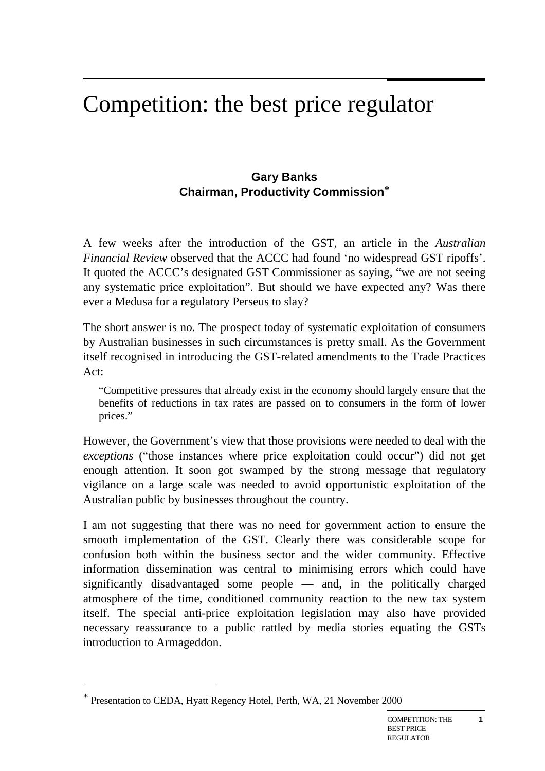# Competition: the best price regulator

#### **Gary Banks Chairman, Productivity Commission\***

A few weeks after the introduction of the GST, an article in the *Australian Financial Review* observed that the ACCC had found 'no widespread GST ripoffs'. It quoted the ACCC's designated GST Commissioner as saying, "we are not seeing any systematic price exploitation". But should we have expected any? Was there ever a Medusa for a regulatory Perseus to slay?

The short answer is no. The prospect today of systematic exploitation of consumers by Australian businesses in such circumstances is pretty small. As the Government itself recognised in introducing the GST-related amendments to the Trade Practices Act:

"Competitive pressures that already exist in the economy should largely ensure that the benefits of reductions in tax rates are passed on to consumers in the form of lower prices."

However, the Government's view that those provisions were needed to deal with the *exceptions* ("those instances where price exploitation could occur") did not get enough attention. It soon got swamped by the strong message that regulatory vigilance on a large scale was needed to avoid opportunistic exploitation of the Australian public by businesses throughout the country.

I am not suggesting that there was no need for government action to ensure the smooth implementation of the GST. Clearly there was considerable scope for confusion both within the business sector and the wider community. Effective information dissemination was central to minimising errors which could have significantly disadvantaged some people — and, in the politically charged atmosphere of the time, conditioned community reaction to the new tax system itself. The special anti-price exploitation legislation may also have provided necessary reassurance to a public rattled by media stories equating the GSTs introduction to Armageddon.

 $\overline{a}$ 

<sup>\*</sup> Presentation to CEDA, Hyatt Regency Hotel, Perth, WA, 21 November 2000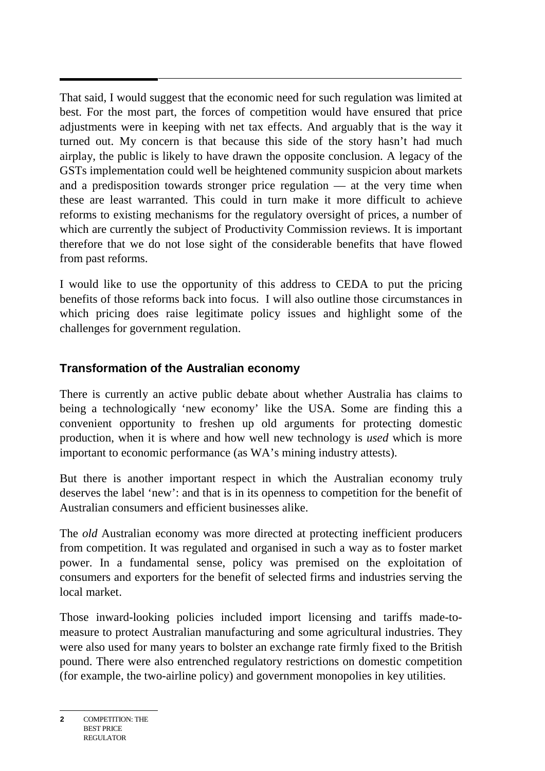That said, I would suggest that the economic need for such regulation was limited at best. For the most part, the forces of competition would have ensured that price adjustments were in keeping with net tax effects. And arguably that is the way it turned out. My concern is that because this side of the story hasn't had much airplay, the public is likely to have drawn the opposite conclusion. A legacy of the GSTs implementation could well be heightened community suspicion about markets and a predisposition towards stronger price regulation — at the very time when these are least warranted. This could in turn make it more difficult to achieve reforms to existing mechanisms for the regulatory oversight of prices, a number of which are currently the subject of Productivity Commission reviews. It is important therefore that we do not lose sight of the considerable benefits that have flowed from past reforms.

I would like to use the opportunity of this address to CEDA to put the pricing benefits of those reforms back into focus. I will also outline those circumstances in which pricing does raise legitimate policy issues and highlight some of the challenges for government regulation.

## **Transformation of the Australian economy**

There is currently an active public debate about whether Australia has claims to being a technologically 'new economy' like the USA. Some are finding this a convenient opportunity to freshen up old arguments for protecting domestic production, when it is where and how well new technology is *used* which is more important to economic performance (as WA's mining industry attests).

But there is another important respect in which the Australian economy truly deserves the label 'new': and that is in its openness to competition for the benefit of Australian consumers and efficient businesses alike.

The *old* Australian economy was more directed at protecting inefficient producers from competition. It was regulated and organised in such a way as to foster market power. In a fundamental sense, policy was premised on the exploitation of consumers and exporters for the benefit of selected firms and industries serving the local market.

Those inward-looking policies included import licensing and tariffs made-tomeasure to protect Australian manufacturing and some agricultural industries. They were also used for many years to bolster an exchange rate firmly fixed to the British pound. There were also entrenched regulatory restrictions on domestic competition (for example, the two-airline policy) and government monopolies in key utilities.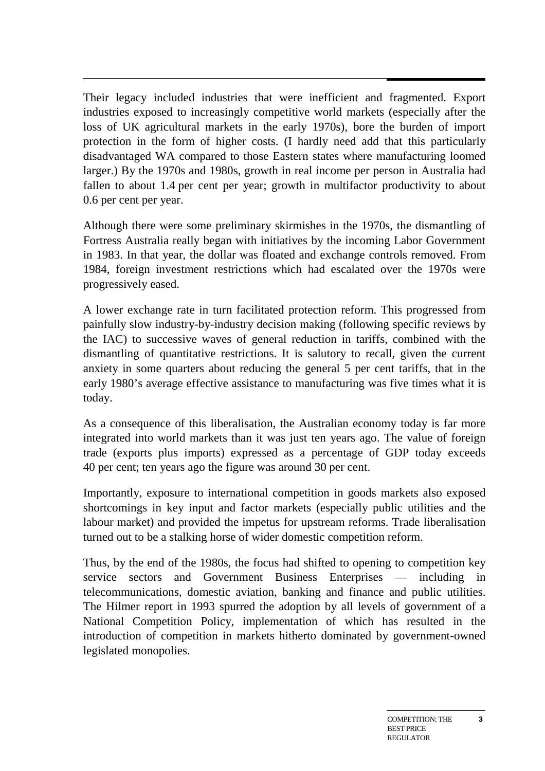Their legacy included industries that were inefficient and fragmented. Export industries exposed to increasingly competitive world markets (especially after the loss of UK agricultural markets in the early 1970s), bore the burden of import protection in the form of higher costs. (I hardly need add that this particularly disadvantaged WA compared to those Eastern states where manufacturing loomed larger.) By the 1970s and 1980s, growth in real income per person in Australia had fallen to about 1.4 per cent per year; growth in multifactor productivity to about 0.6 per cent per year.

Although there were some preliminary skirmishes in the 1970s, the dismantling of Fortress Australia really began with initiatives by the incoming Labor Government in 1983. In that year, the dollar was floated and exchange controls removed. From 1984, foreign investment restrictions which had escalated over the 1970s were progressively eased.

A lower exchange rate in turn facilitated protection reform. This progressed from painfully slow industry-by-industry decision making (following specific reviews by the IAC) to successive waves of general reduction in tariffs, combined with the dismantling of quantitative restrictions. It is salutory to recall, given the current anxiety in some quarters about reducing the general 5 per cent tariffs, that in the early 1980's average effective assistance to manufacturing was five times what it is today.

As a consequence of this liberalisation, the Australian economy today is far more integrated into world markets than it was just ten years ago. The value of foreign trade (exports plus imports) expressed as a percentage of GDP today exceeds 40 per cent; ten years ago the figure was around 30 per cent.

Importantly, exposure to international competition in goods markets also exposed shortcomings in key input and factor markets (especially public utilities and the labour market) and provided the impetus for upstream reforms. Trade liberalisation turned out to be a stalking horse of wider domestic competition reform.

Thus, by the end of the 1980s, the focus had shifted to opening to competition key service sectors and Government Business Enterprises — including in telecommunications, domestic aviation, banking and finance and public utilities. The Hilmer report in 1993 spurred the adoption by all levels of government of a National Competition Policy, implementation of which has resulted in the introduction of competition in markets hitherto dominated by government-owned legislated monopolies.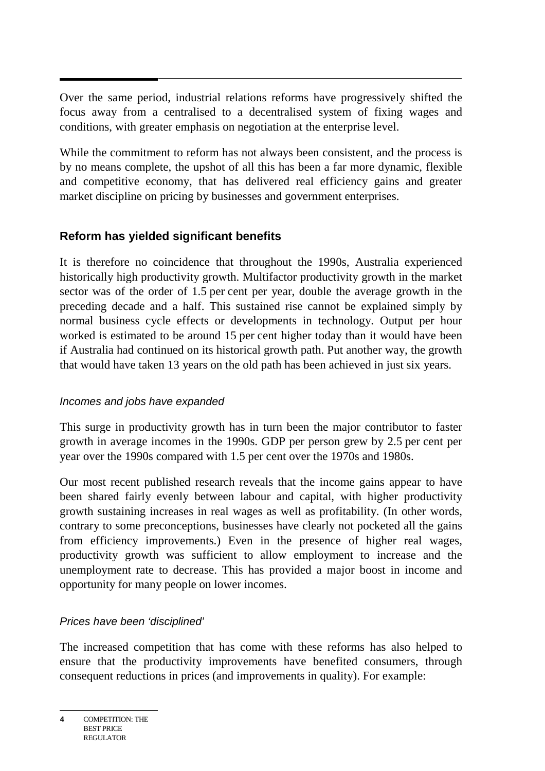Over the same period, industrial relations reforms have progressively shifted the focus away from a centralised to a decentralised system of fixing wages and conditions, with greater emphasis on negotiation at the enterprise level.

While the commitment to reform has not always been consistent, and the process is by no means complete, the upshot of all this has been a far more dynamic, flexible and competitive economy, that has delivered real efficiency gains and greater market discipline on pricing by businesses and government enterprises.

## **Reform has yielded significant benefits**

It is therefore no coincidence that throughout the 1990s, Australia experienced historically high productivity growth. Multifactor productivity growth in the market sector was of the order of 1.5 per cent per year, double the average growth in the preceding decade and a half. This sustained rise cannot be explained simply by normal business cycle effects or developments in technology. Output per hour worked is estimated to be around 15 per cent higher today than it would have been if Australia had continued on its historical growth path. Put another way, the growth that would have taken 13 years on the old path has been achieved in just six years.

## Incomes and jobs have expanded

This surge in productivity growth has in turn been the major contributor to faster growth in average incomes in the 1990s. GDP per person grew by 2.5 per cent per year over the 1990s compared with 1.5 per cent over the 1970s and 1980s.

Our most recent published research reveals that the income gains appear to have been shared fairly evenly between labour and capital, with higher productivity growth sustaining increases in real wages as well as profitability. (In other words, contrary to some preconceptions, businesses have clearly not pocketed all the gains from efficiency improvements.) Even in the presence of higher real wages, productivity growth was sufficient to allow employment to increase and the unemployment rate to decrease. This has provided a major boost in income and opportunity for many people on lower incomes.

## Prices have been 'disciplined'

The increased competition that has come with these reforms has also helped to ensure that the productivity improvements have benefited consumers, through consequent reductions in prices (and improvements in quality). For example: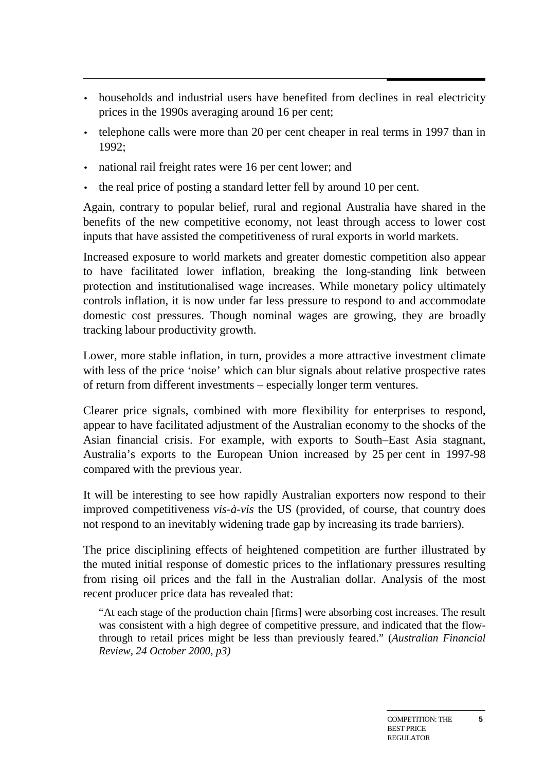- households and industrial users have benefited from declines in real electricity prices in the 1990s averaging around 16 per cent;
- telephone calls were more than 20 per cent cheaper in real terms in 1997 than in 1992;
- national rail freight rates were 16 per cent lower; and
- the real price of posting a standard letter fell by around 10 per cent.

Again, contrary to popular belief, rural and regional Australia have shared in the benefits of the new competitive economy, not least through access to lower cost inputs that have assisted the competitiveness of rural exports in world markets.

Increased exposure to world markets and greater domestic competition also appear to have facilitated lower inflation, breaking the long-standing link between protection and institutionalised wage increases. While monetary policy ultimately controls inflation, it is now under far less pressure to respond to and accommodate domestic cost pressures. Though nominal wages are growing, they are broadly tracking labour productivity growth.

Lower, more stable inflation, in turn, provides a more attractive investment climate with less of the price 'noise' which can blur signals about relative prospective rates of return from different investments – especially longer term ventures.

Clearer price signals, combined with more flexibility for enterprises to respond, appear to have facilitated adjustment of the Australian economy to the shocks of the Asian financial crisis. For example, with exports to South–East Asia stagnant, Australia's exports to the European Union increased by 25 per cent in 1997-98 compared with the previous year.

It will be interesting to see how rapidly Australian exporters now respond to their improved competitiveness *vis-à-vis* the US (provided, of course, that country does not respond to an inevitably widening trade gap by increasing its trade barriers).

The price disciplining effects of heightened competition are further illustrated by the muted initial response of domestic prices to the inflationary pressures resulting from rising oil prices and the fall in the Australian dollar. Analysis of the most recent producer price data has revealed that:

"At each stage of the production chain [firms] were absorbing cost increases. The result was consistent with a high degree of competitive pressure, and indicated that the flowthrough to retail prices might be less than previously feared." (*Australian Financial Review, 24 October 2000, p3)*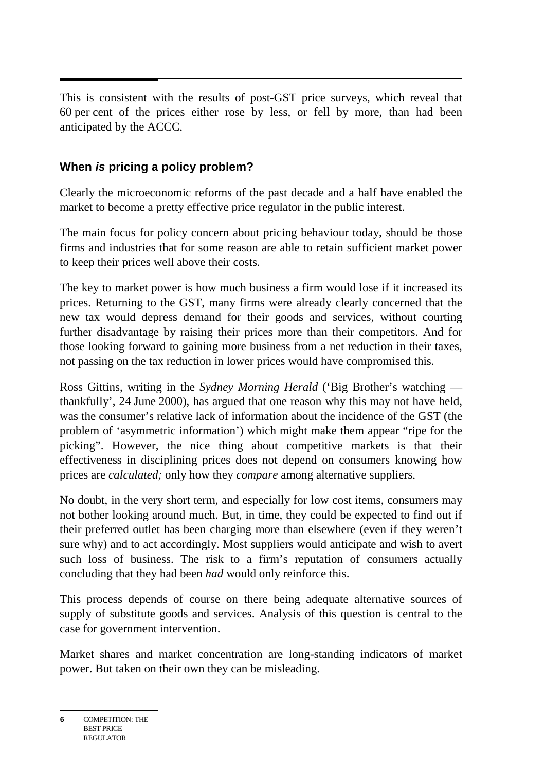This is consistent with the results of post-GST price surveys, which reveal that 60 per cent of the prices either rose by less, or fell by more, than had been anticipated by the ACCC.

## **When is pricing a policy problem?**

Clearly the microeconomic reforms of the past decade and a half have enabled the market to become a pretty effective price regulator in the public interest.

The main focus for policy concern about pricing behaviour today, should be those firms and industries that for some reason are able to retain sufficient market power to keep their prices well above their costs.

The key to market power is how much business a firm would lose if it increased its prices. Returning to the GST, many firms were already clearly concerned that the new tax would depress demand for their goods and services, without courting further disadvantage by raising their prices more than their competitors. And for those looking forward to gaining more business from a net reduction in their taxes, not passing on the tax reduction in lower prices would have compromised this.

Ross Gittins, writing in the *Sydney Morning Herald* ('Big Brother's watching thankfully', 24 June 2000), has argued that one reason why this may not have held, was the consumer's relative lack of information about the incidence of the GST (the problem of 'asymmetric information') which might make them appear "ripe for the picking". However, the nice thing about competitive markets is that their effectiveness in disciplining prices does not depend on consumers knowing how prices are *calculated;* only how they *compare* among alternative suppliers.

No doubt, in the very short term, and especially for low cost items, consumers may not bother looking around much. But, in time, they could be expected to find out if their preferred outlet has been charging more than elsewhere (even if they weren't sure why) and to act accordingly. Most suppliers would anticipate and wish to avert such loss of business. The risk to a firm's reputation of consumers actually concluding that they had been *had* would only reinforce this.

This process depends of course on there being adequate alternative sources of supply of substitute goods and services. Analysis of this question is central to the case for government intervention.

Market shares and market concentration are long-standing indicators of market power. But taken on their own they can be misleading.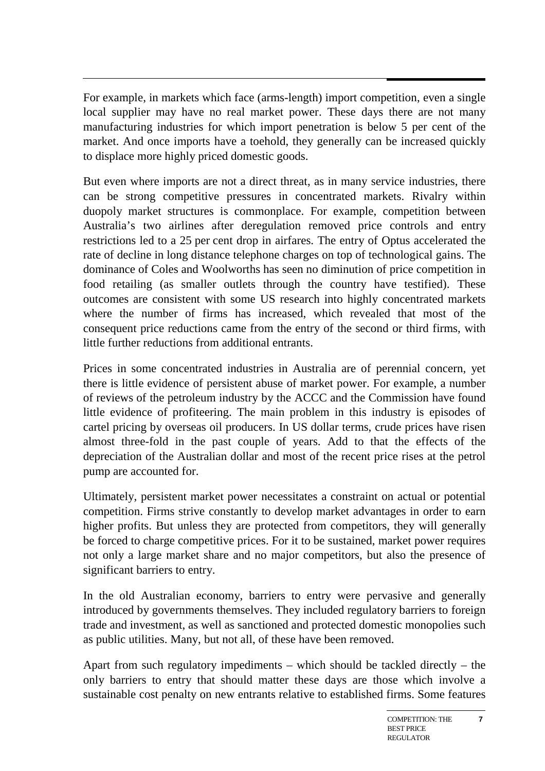For example, in markets which face (arms-length) import competition, even a single local supplier may have no real market power. These days there are not many manufacturing industries for which import penetration is below 5 per cent of the market. And once imports have a toehold, they generally can be increased quickly to displace more highly priced domestic goods.

But even where imports are not a direct threat, as in many service industries, there can be strong competitive pressures in concentrated markets. Rivalry within duopoly market structures is commonplace. For example, competition between Australia's two airlines after deregulation removed price controls and entry restrictions led to a 25 per cent drop in airfares. The entry of Optus accelerated the rate of decline in long distance telephone charges on top of technological gains. The dominance of Coles and Woolworths has seen no diminution of price competition in food retailing (as smaller outlets through the country have testified). These outcomes are consistent with some US research into highly concentrated markets where the number of firms has increased, which revealed that most of the consequent price reductions came from the entry of the second or third firms, with little further reductions from additional entrants.

Prices in some concentrated industries in Australia are of perennial concern, yet there is little evidence of persistent abuse of market power. For example, a number of reviews of the petroleum industry by the ACCC and the Commission have found little evidence of profiteering. The main problem in this industry is episodes of cartel pricing by overseas oil producers. In US dollar terms, crude prices have risen almost three-fold in the past couple of years. Add to that the effects of the depreciation of the Australian dollar and most of the recent price rises at the petrol pump are accounted for.

Ultimately, persistent market power necessitates a constraint on actual or potential competition. Firms strive constantly to develop market advantages in order to earn higher profits. But unless they are protected from competitors, they will generally be forced to charge competitive prices. For it to be sustained, market power requires not only a large market share and no major competitors, but also the presence of significant barriers to entry.

In the old Australian economy, barriers to entry were pervasive and generally introduced by governments themselves. They included regulatory barriers to foreign trade and investment, as well as sanctioned and protected domestic monopolies such as public utilities. Many, but not all, of these have been removed.

Apart from such regulatory impediments – which should be tackled directly – the only barriers to entry that should matter these days are those which involve a sustainable cost penalty on new entrants relative to established firms. Some features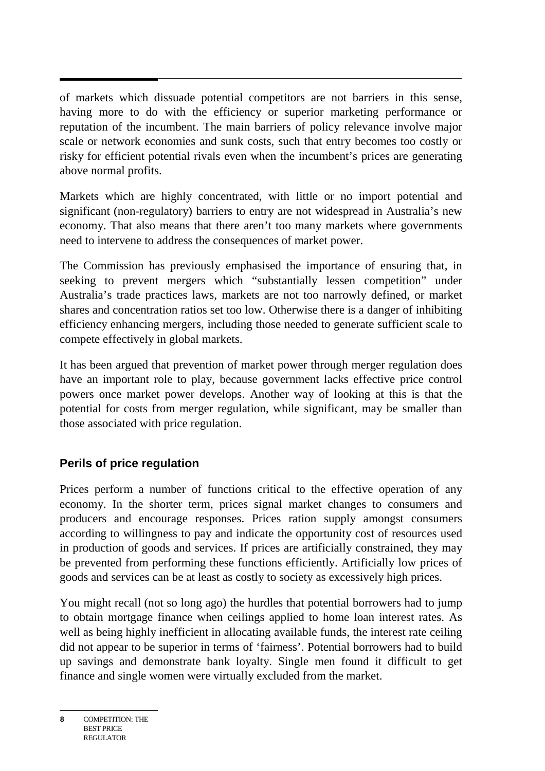of markets which dissuade potential competitors are not barriers in this sense, having more to do with the efficiency or superior marketing performance or reputation of the incumbent. The main barriers of policy relevance involve major scale or network economies and sunk costs, such that entry becomes too costly or risky for efficient potential rivals even when the incumbent's prices are generating above normal profits.

Markets which are highly concentrated, with little or no import potential and significant (non-regulatory) barriers to entry are not widespread in Australia's new economy. That also means that there aren't too many markets where governments need to intervene to address the consequences of market power.

The Commission has previously emphasised the importance of ensuring that, in seeking to prevent mergers which "substantially lessen competition" under Australia's trade practices laws, markets are not too narrowly defined, or market shares and concentration ratios set too low. Otherwise there is a danger of inhibiting efficiency enhancing mergers, including those needed to generate sufficient scale to compete effectively in global markets.

It has been argued that prevention of market power through merger regulation does have an important role to play, because government lacks effective price control powers once market power develops. Another way of looking at this is that the potential for costs from merger regulation, while significant, may be smaller than those associated with price regulation.

## **Perils of price regulation**

Prices perform a number of functions critical to the effective operation of any economy. In the shorter term, prices signal market changes to consumers and producers and encourage responses. Prices ration supply amongst consumers according to willingness to pay and indicate the opportunity cost of resources used in production of goods and services. If prices are artificially constrained, they may be prevented from performing these functions efficiently. Artificially low prices of goods and services can be at least as costly to society as excessively high prices.

You might recall (not so long ago) the hurdles that potential borrowers had to jump to obtain mortgage finance when ceilings applied to home loan interest rates. As well as being highly inefficient in allocating available funds, the interest rate ceiling did not appear to be superior in terms of 'fairness'. Potential borrowers had to build up savings and demonstrate bank loyalty. Single men found it difficult to get finance and single women were virtually excluded from the market.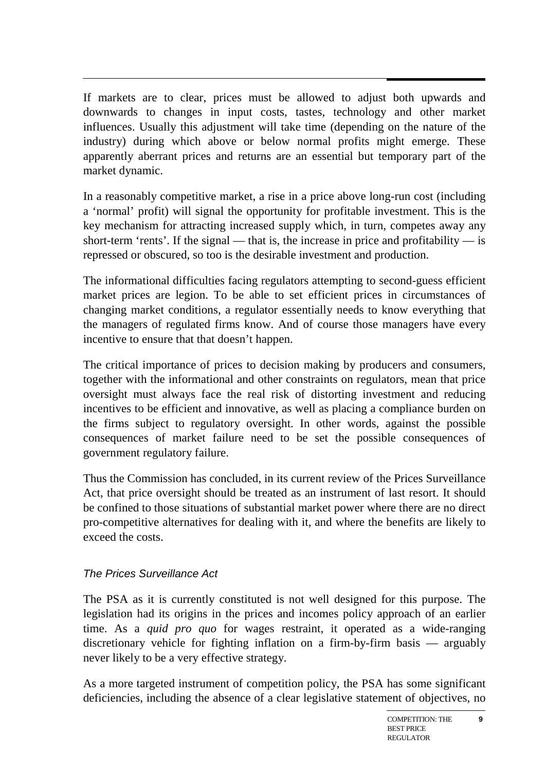If markets are to clear, prices must be allowed to adjust both upwards and downwards to changes in input costs, tastes, technology and other market influences. Usually this adjustment will take time (depending on the nature of the industry) during which above or below normal profits might emerge. These apparently aberrant prices and returns are an essential but temporary part of the market dynamic.

In a reasonably competitive market, a rise in a price above long-run cost (including a 'normal' profit) will signal the opportunity for profitable investment. This is the key mechanism for attracting increased supply which, in turn, competes away any short-term 'rents'. If the signal — that is, the increase in price and profitability — is repressed or obscured, so too is the desirable investment and production.

The informational difficulties facing regulators attempting to second-guess efficient market prices are legion. To be able to set efficient prices in circumstances of changing market conditions, a regulator essentially needs to know everything that the managers of regulated firms know. And of course those managers have every incentive to ensure that that doesn't happen.

The critical importance of prices to decision making by producers and consumers, together with the informational and other constraints on regulators, mean that price oversight must always face the real risk of distorting investment and reducing incentives to be efficient and innovative, as well as placing a compliance burden on the firms subject to regulatory oversight. In other words, against the possible consequences of market failure need to be set the possible consequences of government regulatory failure.

Thus the Commission has concluded, in its current review of the Prices Surveillance Act, that price oversight should be treated as an instrument of last resort. It should be confined to those situations of substantial market power where there are no direct pro-competitive alternatives for dealing with it, and where the benefits are likely to exceed the costs.

## The Prices Surveillance Act

The PSA as it is currently constituted is not well designed for this purpose. The legislation had its origins in the prices and incomes policy approach of an earlier time. As a *quid pro quo* for wages restraint, it operated as a wide-ranging discretionary vehicle for fighting inflation on a firm-by-firm basis — arguably never likely to be a very effective strategy.

As a more targeted instrument of competition policy, the PSA has some significant deficiencies, including the absence of a clear legislative statement of objectives, no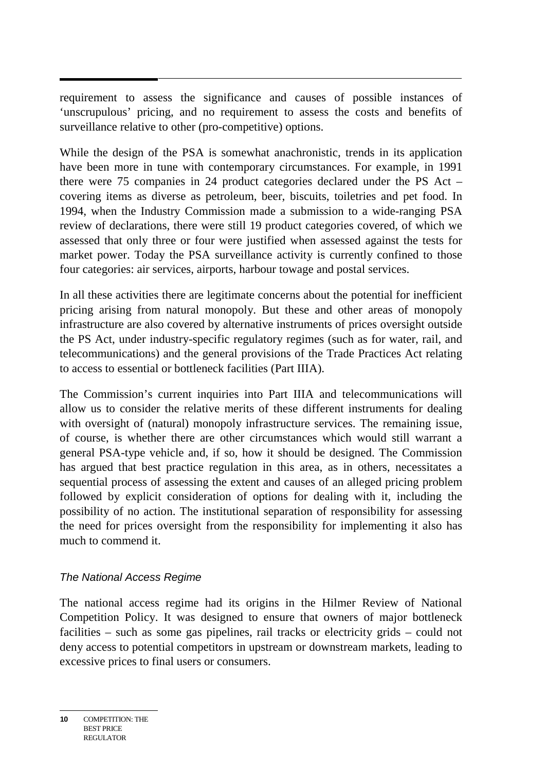requirement to assess the significance and causes of possible instances of 'unscrupulous' pricing, and no requirement to assess the costs and benefits of surveillance relative to other (pro-competitive) options.

While the design of the PSA is somewhat anachronistic, trends in its application have been more in tune with contemporary circumstances. For example, in 1991 there were 75 companies in 24 product categories declared under the PS Act – covering items as diverse as petroleum, beer, biscuits, toiletries and pet food. In 1994, when the Industry Commission made a submission to a wide-ranging PSA review of declarations, there were still 19 product categories covered, of which we assessed that only three or four were justified when assessed against the tests for market power. Today the PSA surveillance activity is currently confined to those four categories: air services, airports, harbour towage and postal services.

In all these activities there are legitimate concerns about the potential for inefficient pricing arising from natural monopoly. But these and other areas of monopoly infrastructure are also covered by alternative instruments of prices oversight outside the PS Act, under industry-specific regulatory regimes (such as for water, rail, and telecommunications) and the general provisions of the Trade Practices Act relating to access to essential or bottleneck facilities (Part IIIA).

The Commission's current inquiries into Part IIIA and telecommunications will allow us to consider the relative merits of these different instruments for dealing with oversight of (natural) monopoly infrastructure services. The remaining issue, of course, is whether there are other circumstances which would still warrant a general PSA-type vehicle and, if so, how it should be designed. The Commission has argued that best practice regulation in this area, as in others, necessitates a sequential process of assessing the extent and causes of an alleged pricing problem followed by explicit consideration of options for dealing with it, including the possibility of no action. The institutional separation of responsibility for assessing the need for prices oversight from the responsibility for implementing it also has much to commend it.

#### The National Access Regime

The national access regime had its origins in the Hilmer Review of National Competition Policy. It was designed to ensure that owners of major bottleneck facilities – such as some gas pipelines, rail tracks or electricity grids – could not deny access to potential competitors in upstream or downstream markets, leading to excessive prices to final users or consumers.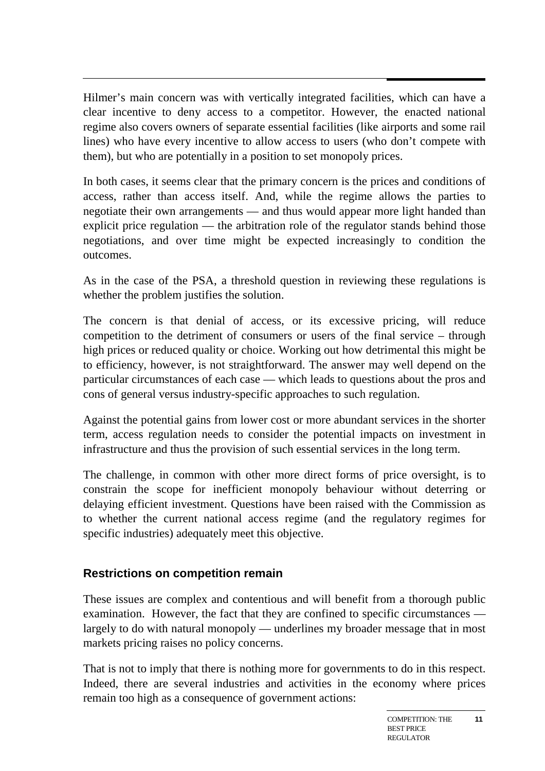Hilmer's main concern was with vertically integrated facilities, which can have a clear incentive to deny access to a competitor. However, the enacted national regime also covers owners of separate essential facilities (like airports and some rail lines) who have every incentive to allow access to users (who don't compete with them), but who are potentially in a position to set monopoly prices.

In both cases, it seems clear that the primary concern is the prices and conditions of access, rather than access itself. And, while the regime allows the parties to negotiate their own arrangements — and thus would appear more light handed than explicit price regulation — the arbitration role of the regulator stands behind those negotiations, and over time might be expected increasingly to condition the outcomes.

As in the case of the PSA, a threshold question in reviewing these regulations is whether the problem justifies the solution.

The concern is that denial of access, or its excessive pricing, will reduce competition to the detriment of consumers or users of the final service – through high prices or reduced quality or choice. Working out how detrimental this might be to efficiency, however, is not straightforward. The answer may well depend on the particular circumstances of each case — which leads to questions about the pros and cons of general versus industry-specific approaches to such regulation.

Against the potential gains from lower cost or more abundant services in the shorter term, access regulation needs to consider the potential impacts on investment in infrastructure and thus the provision of such essential services in the long term.

The challenge, in common with other more direct forms of price oversight, is to constrain the scope for inefficient monopoly behaviour without deterring or delaying efficient investment. Questions have been raised with the Commission as to whether the current national access regime (and the regulatory regimes for specific industries) adequately meet this objective.

#### **Restrictions on competition remain**

These issues are complex and contentious and will benefit from a thorough public examination. However, the fact that they are confined to specific circumstances largely to do with natural monopoly — underlines my broader message that in most markets pricing raises no policy concerns.

That is not to imply that there is nothing more for governments to do in this respect. Indeed, there are several industries and activities in the economy where prices remain too high as a consequence of government actions: